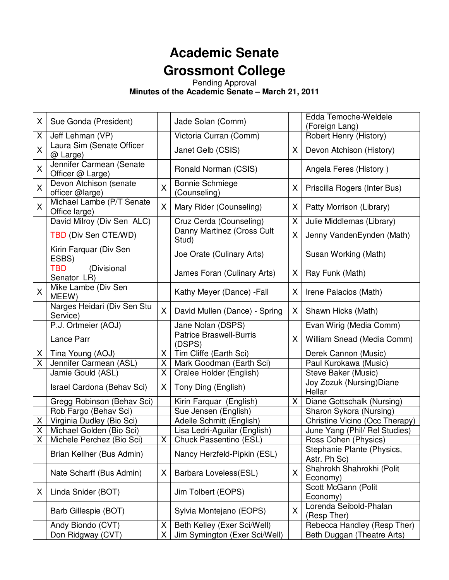# **Academic Senate Grossmont College**

Pending Approval

**Minutes of the Academic Senate – March 21, 2011** 

| X                       | Sue Gonda (President)                        |   | Jade Solan (Comm)                        |    | Edda Temoche-Weldele<br>(Foreign Lang)     |
|-------------------------|----------------------------------------------|---|------------------------------------------|----|--------------------------------------------|
| Χ                       | Jeff Lehman (VP)                             |   | Victoria Curran (Comm)                   |    | Robert Henry (History)                     |
| X                       | Laura Sim (Senate Officer<br>@ Large)        |   | Janet Gelb (CSIS)                        | X. | Devon Atchison (History)                   |
| X                       | Jennifer Carmean (Senate<br>Officer @ Large) |   | Ronald Norman (CSIS)                     |    | Angela Feres (History)                     |
| X                       | Devon Atchison (senate<br>officer @large)    | X | <b>Bonnie Schmiege</b><br>(Counseling)   | X  | Priscilla Rogers (Inter Bus)               |
| X                       | Michael Lambe (P/T Senate<br>Office large)   | X | Mary Rider (Counseling)                  | X. | Patty Morrison (Library)                   |
|                         | David Milroy (Div Sen ALC)                   |   | Cruz Cerda (Counseling)                  | X  | Julie Middlemas (Library)                  |
|                         | TBD (Div Sen CTE/WD)                         |   | Danny Martinez (Cross Cult<br>Stud)      | X. | Jenny VandenEynden (Math)                  |
|                         | Kirin Farquar (Div Sen<br>ESBS)              |   | Joe Orate (Culinary Arts)                |    | Susan Working (Math)                       |
|                         | (Divisional<br>TBD<br>Senator LR)            |   | James Foran (Culinary Arts)              | X. | Ray Funk (Math)                            |
| X                       | Mike Lambe (Div Sen<br>MEEW)                 |   | Kathy Meyer (Dance) - Fall               | X. | Irene Palacios (Math)                      |
|                         | Narges Heidari (Div Sen Stu<br>Service)      | X | David Mullen (Dance) - Spring            | X. | Shawn Hicks (Math)                         |
|                         | P.J. Ortmeier (AOJ)                          |   | Jane Nolan (DSPS)                        |    | Evan Wirig (Media Comm)                    |
|                         | Lance Parr                                   |   | <b>Patrice Braswell-Burris</b><br>(DSPS) | X. | William Snead (Media Comm)                 |
| Χ                       | Tina Young (AOJ)                             | Χ | Tim Cliffe (Earth Sci)                   |    | Derek Cannon (Music)                       |
| $\overline{\mathsf{X}}$ | Jennifer Carmean (ASL)                       | Х | Mark Goodman (Earth Sci)                 |    | Paul Kurokawa (Music)                      |
|                         | Jamie Gould (ASL)                            | X | Oralee Holder (English)                  |    | Steve Baker (Music)                        |
|                         | Israel Cardona (Behav Sci)                   | X | Tony Ding (English)                      |    | Joy Zozuk (Nursing) Diane<br>Hellar        |
|                         | Gregg Robinson (Behav Sci)                   |   | Kirin Farquar (English)                  | X. | Diane Gottschalk (Nursing)                 |
|                         | Rob Fargo (Behav Sci)                        |   | Sue Jensen (English)                     |    | Sharon Sykora (Nursing)                    |
| X                       | Virginia Dudley (Bio Sci)                    |   | Adelle Schmitt (English)                 |    | Christine Vicino (Occ Therapy)             |
| X                       | Michael Golden (Bio Sci)                     |   | Lisa Ledri-Aguilar (English)             |    | June Yang (Phil/ Rel Studies)              |
| $\overline{\mathsf{X}}$ | Michele Perchez (Bio Sci)                    |   | X Chuck Passentino (ESL)                 |    | Ross Cohen (Physics)                       |
|                         | Brian Keliher (Bus Admin)                    |   | Nancy Herzfeld-Pipkin (ESL)              |    | Stephanie Plante (Physics,<br>Astr. Ph Sc) |
|                         | Nate Scharff (Bus Admin)                     | X | Barbara Loveless(ESL)                    | X  | Shahrokh Shahrokhi (Polit<br>Economy)      |
| X                       | Linda Snider (BOT)                           |   | Jim Tolbert (EOPS)                       |    | Scott McGann (Polit<br>Economy)            |
|                         | Barb Gillespie (BOT)                         |   | Sylvia Montejano (EOPS)                  | X  | Lorenda Seibold-Phalan<br>(Resp Ther)      |
|                         | Andy Biondo (CVT)                            | Χ | Beth Kelley (Exer Sci/Well)              |    | Rebecca Handley (Resp Ther)                |
|                         | Don Ridgway (CVT)                            | Χ | Jim Symington (Exer Sci/Well)            |    | Beth Duggan (Theatre Arts)                 |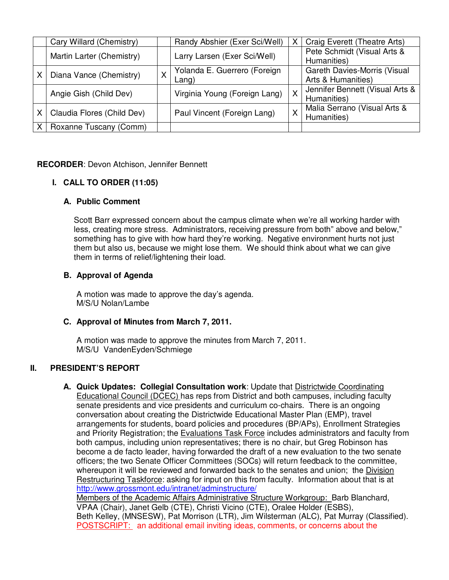|   | Cary Willard (Chemistry)   | Randy Abshier (Exer Sci/Well)         | X        | Craig Everett (Theatre Arts)                       |
|---|----------------------------|---------------------------------------|----------|----------------------------------------------------|
|   | Martin Larter (Chemistry)  | Larry Larsen (Exer Sci/Well)          |          | Pete Schmidt (Visual Arts &<br>Humanities)         |
| X | Diana Vance (Chemistry)    | Yolanda E. Guerrero (Foreign<br>Lang) |          | Gareth Davies-Morris (Visual<br>Arts & Humanities) |
|   | Angie Gish (Child Dev)     | Virginia Young (Foreign Lang)         | X        | Jennifer Bennett (Visual Arts &<br>Humanities)     |
| X | Claudia Flores (Child Dev) | Paul Vincent (Foreign Lang)           | $\times$ | Malia Serrano (Visual Arts &<br>Humanities)        |
|   | Roxanne Tuscany (Comm)     |                                       |          |                                                    |

## **RECORDER**: Devon Atchison, Jennifer Bennett

## **I. CALL TO ORDER (11:05)**

#### **A. Public Comment**

Scott Barr expressed concern about the campus climate when we're all working harder with less, creating more stress. Administrators, receiving pressure from both" above and below," something has to give with how hard they're working. Negative environment hurts not just them but also us, because we might lose them. We should think about what we can give them in terms of relief/lightening their load.

#### **B. Approval of Agenda**

A motion was made to approve the day's agenda. M/S/U Nolan/Lambe

## **C. Approval of Minutes from March 7, 2011.**

A motion was made to approve the minutes from March 7, 2011. M/S/U VandenEyden/Schmiege

## **II. PRESIDENT'S REPORT**

**A. Quick Updates: Collegial Consultation work**: Update that Districtwide Coordinating Educational Council (DCEC) has reps from District and both campuses, including faculty senate presidents and vice presidents and curriculum co-chairs. There is an ongoing conversation about creating the Districtwide Educational Master Plan (EMP), travel arrangements for students, board policies and procedures (BP/APs), Enrollment Strategies and Priority Registration; the Evaluations Task Force includes administrators and faculty from both campus, including union representatives; there is no chair, but Greg Robinson has become a de facto leader, having forwarded the draft of a new evaluation to the two senate officers; the two Senate Officer Committees (SOCs) will return feedback to the committee, whereupon it will be reviewed and forwarded back to the senates and union; the Division Restructuring Taskforce: asking for input on this from faculty. Information about that is at http://www.grossmont.edu/intranet/adminstructure/

Members of the Academic Affairs Administrative Structure Workgroup: Barb Blanchard, VPAA (Chair), Janet Gelb (CTE), Christi Vicino (CTE), Oralee Holder (ESBS), Beth Kelley, (MNSESW), Pat Morrison (LTR), Jim Wilsterman (ALC), Pat Murray (Classified). POSTSCRIPT: an additional email inviting ideas, comments, or concerns about the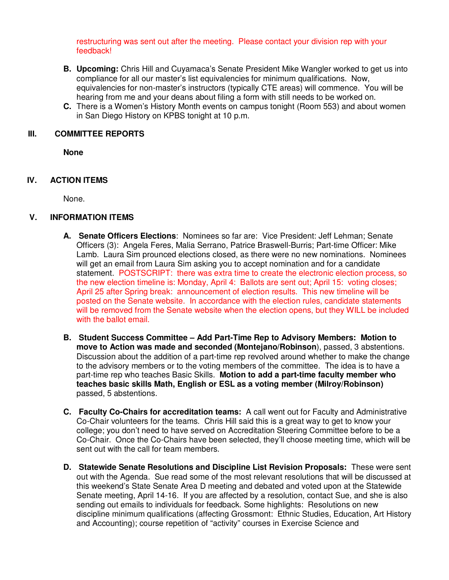restructuring was sent out after the meeting. Please contact your division rep with your feedback!

- **B. Upcoming:** Chris Hill and Cuyamaca's Senate President Mike Wangler worked to get us into compliance for all our master's list equivalencies for minimum qualifications. Now, equivalencies for non-master's instructors (typically CTE areas) will commence. You will be hearing from me and your deans about filing a form with still needs to be worked on.
- **C.** There is a Women's History Month events on campus tonight (Room 553) and about women in San Diego History on KPBS tonight at 10 p.m.

#### **III. COMMITTEE REPORTS**

**None**

## **IV. ACTION ITEMS**

None.

## **V. INFORMATION ITEMS**

- **A. Senate Officers Elections**: Nominees so far are: Vice President: Jeff Lehman; Senate Officers (3): Angela Feres, Malia Serrano, Patrice Braswell-Burris; Part-time Officer: Mike Lamb. Laura Sim prounced elections closed, as there were no new nominations. Nominees will get an email from Laura Sim asking you to accept nomination and for a candidate statement. POSTSCRIPT: there was extra time to create the electronic election process, so the new election timeline is: Monday, April 4: Ballots are sent out; April 15: voting closes; April 25 after Spring break: announcement of election results. This new timeline will be posted on the Senate website. In accordance with the election rules, candidate statements will be removed from the Senate website when the election opens, but they WILL be included with the ballot email.
- **B. Student Success Committee Add Part-Time Rep to Advisory Members: Motion to move to Action was made and seconded (Montejano/Robinson**), passed, 3 abstentions. Discussion about the addition of a part-time rep revolved around whether to make the change to the advisory members or to the voting members of the committee. The idea is to have a part-time rep who teaches Basic Skills. **Motion to add a part-time faculty member who teaches basic skills Math, English or ESL as a voting member (Milroy/Robinson)** passed, 5 abstentions.
- **C. Faculty Co-Chairs for accreditation teams:** A call went out for Faculty and Administrative Co-Chair volunteers for the teams. Chris Hill said this is a great way to get to know your college; you don't need to have served on Accreditation Steering Committee before to be a Co-Chair. Once the Co-Chairs have been selected, they'll choose meeting time, which will be sent out with the call for team members.
- **D. Statewide Senate Resolutions and Discipline List Revision Proposals:** These were sent out with the Agenda. Sue read some of the most relevant resolutions that will be discussed at this weekend's State Senate Area D meeting and debated and voted upon at the Statewide Senate meeting, April 14-16. If you are affected by a resolution, contact Sue, and she is also sending out emails to individuals for feedback. Some highlights: Resolutions on new discipline minimum qualifications (affecting Grossmont: Ethnic Studies, Education, Art History and Accounting); course repetition of "activity" courses in Exercise Science and